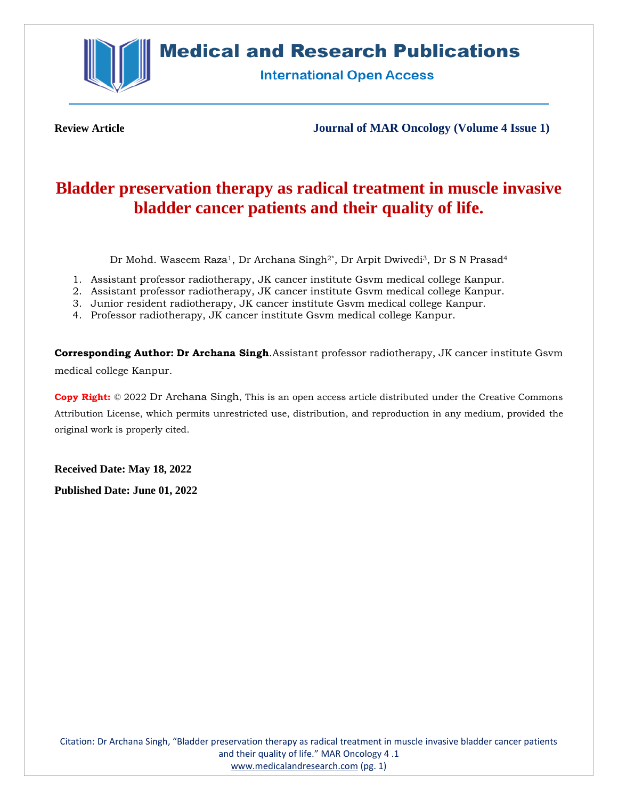

# **Medical and Research Publications**

**International Open Access** 

**Review Article Journal of MAR Oncology (Volume 4 Issue 1)**

# **Bladder preservation therapy as radical treatment in muscle invasive bladder cancer patients and their quality of life.**

Dr Mohd. Waseem Raza<sup>1</sup>, Dr Archana Singh<sup>2\*</sup>, Dr Arpit Dwivedi<sup>3</sup>, Dr S N Prasad<sup>4</sup>

- 1. Assistant professor radiotherapy, JK cancer institute Gsvm medical college Kanpur.
- 2. Assistant professor radiotherapy, JK cancer institute Gsvm medical college Kanpur.
- 3. Junior resident radiotherapy, JK cancer institute Gsvm medical college Kanpur.
- 4. Professor radiotherapy, JK cancer institute Gsvm medical college Kanpur.

**Corresponding Author: Dr Archana Singh**.Assistant professor radiotherapy, JK cancer institute Gsvm medical college Kanpur.

**Copy Right:** © 2022 Dr Archana Singh, This is an open access article distributed under the Creative Commons Attribution License, which permits unrestricted use, distribution, and reproduction in any medium, provided the original work is properly cited.

**Received Date: May 18, 2022**

**Published Date: June 01, 2022**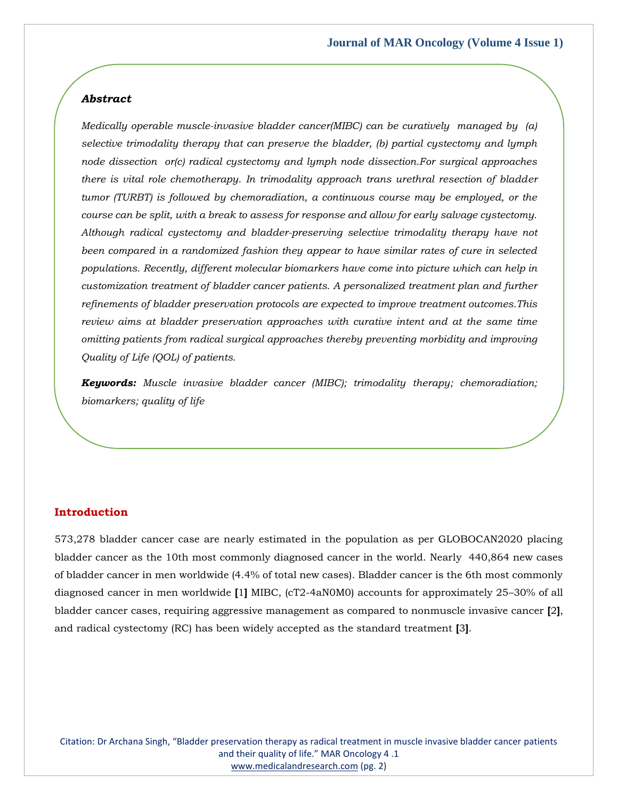# *Abstract*

*Medically operable muscle-invasive bladder cancer(MIBC) can be curatively managed by (a) selective trimodality therapy that can preserve the bladder, (b) partial cystectomy and lymph node dissection or(c) radical cystectomy and lymph node dissection.For surgical approaches there is vital role chemotherapy. In trimodality approach trans urethral resection of bladder tumor (TURBT) is followed by chemoradiation, a continuous course may be employed, or the course can be split, with a break to assess for response and allow for early salvage cystectomy. Although radical cystectomy and bladder-preserving selective trimodality therapy have not been compared in a randomized fashion they appear to have similar rates of cure in selected populations. Recently, different molecular biomarkers have come into picture which can help in customization treatment of bladder cancer patients. A personalized treatment plan and further refinements of bladder preservation protocols are expected to improve treatment outcomes.This review aims at bladder preservation approaches with curative intent and at the same time omitting patients from radical surgical approaches thereby preventing morbidity and improving Quality of Life (QOL) of patients.* 

*Keywords: Muscle invasive bladder cancer (MIBC); trimodality therapy; chemoradiation; biomarkers; quality of life*

#### **Introduction**

573,278 bladder cancer case are nearly estimated in the population as per GLOBOCAN2020 placing bladder cancer as the 10th most commonly diagnosed cancer in the world. Nearly 440,864 new cases of bladder cancer in men worldwide (4.4% of total new cases). Bladder cancer is the 6th most commonly diagnosed cancer in men worldwide **[**1**]** MIBC, (cT2-4aN0M0) accounts for approximately 25–30% of all bladder cancer cases, requiring aggressive management as compared to nonmuscle invasive cancer **[**2**]**, and radical cystectomy (RC) has been widely accepted as the standard treatment **[**3**]**.

Citation: Dr Archana Singh, "Bladder preservation therapy as radical treatment in muscle invasive bladder cancer patients and their quality of life." MAR Oncology 4 .1 [www.medicalandresearch.com](http://www.medicalandresearch.com/) (pg. 2)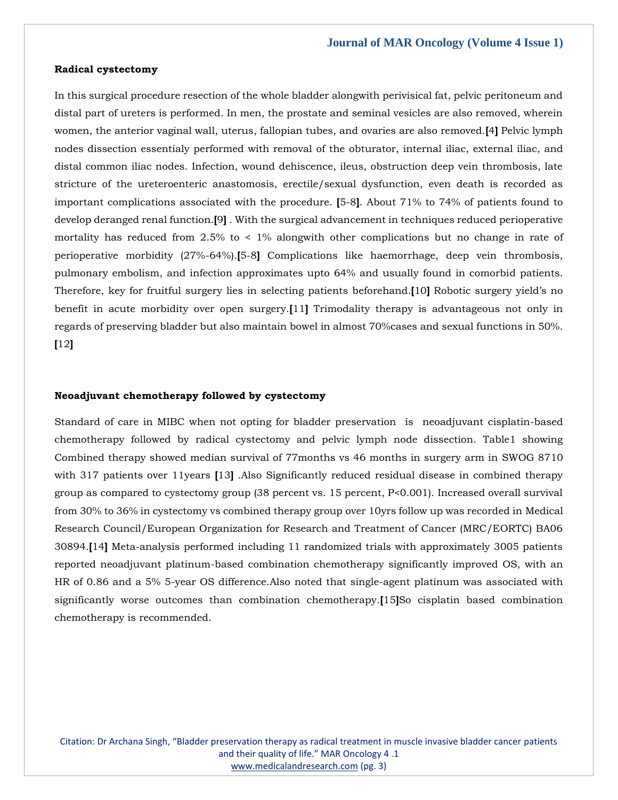#### **Radical cystectomy**

In this surgical procedure resection of the whole bladder alongwith perivisical fat, pelvic peritoneum and distal part of ureters is performed. In men, the prostate and seminal vesicles are also removed, wherein women, the anterior vaginal wall, uterus, fallopian tubes, and ovaries are also removed.**[**4**]** Pelvic lymph nodes dissection essentialy performed with removal of the obturator, internal iliac, external iliac, and distal common iliac nodes. Infection, wound dehiscence, ileus, obstruction deep vein thrombosis, late stricture of the ureteroenteric anastomosis, erectile/sexual dysfunction, even death is recorded as important complications associated with the procedure. **[**5-8**]**. About 71% to 74% of patients found to develop deranged renal function.**[**9**]** . With the surgical advancement in techniques reduced perioperative mortality has reduced from 2.5% to < 1% alongwith other complications but no change in rate of perioperative morbidity (27%-64%).**[**5-8**]** Complications like haemorrhage, deep vein thrombosis, pulmonary embolism, and infection approximates upto 64% and usually found in comorbid patients. Therefore, key for fruitful surgery lies in selecting patients beforehand.**[**10**]** Robotic surgery yield's no benefit in acute morbidity over open surgery.**[**11**]** Trimodality therapy is advantageous not only in regards of preserving bladder but also maintain bowel in almost 70%cases and sexual functions in 50%. **[**12**]**

### **Neoadjuvant chemotherapy followed by cystectomy**

Standard of care in MIBC when not opting for bladder preservation is neoadjuvant cisplatin-based chemotherapy followed by radical cystectomy and pelvic lymph node dissection. Table1 showing Combined therapy showed median survival of 77months vs 46 months in surgery arm in SWOG 8710 with 317 patients over 11years **[**13**]** .Also Significantly reduced residual disease in combined therapy group as compared to cystectomy group (38 percent vs. 15 percent, P<0.001). Increased overall survival from 30% to 36% in cystectomy vs combined therapy group over 10yrs follow up was recorded in Medical Research Council/European Organization for Research and Treatment of Cancer (MRC/EORTC) BA06 30894.**[**14**]** Meta-analysis performed including 11 randomized trials with approximately 3005 patients reported neoadjuvant platinum-based combination chemotherapy significantly improved OS, with an HR of 0.86 and a 5% 5-year OS difference.Also noted that single-agent platinum was associated with significantly worse outcomes than combination chemotherapy.**[**15**]**So cisplatin based combination chemotherapy is recommended.

Citation: Dr Archana Singh, "Bladder preservation therapy as radical treatment in muscle invasive bladder cancer patients and their quality of life." MAR Oncology 4 .1 [www.medicalandresearch.com](http://www.medicalandresearch.com/) (pg. 3)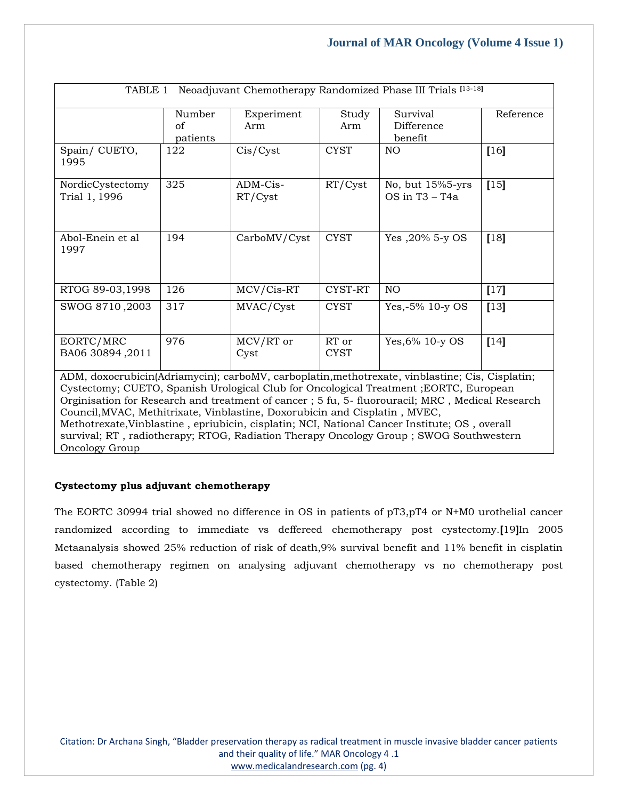| Neoadjuvant Chemotherapy Randomized Phase III Trials [13-18]<br>TABLE 1                                                                                                                                                                                                                      |          |                     |                      |                                    |           |  |  |
|----------------------------------------------------------------------------------------------------------------------------------------------------------------------------------------------------------------------------------------------------------------------------------------------|----------|---------------------|----------------------|------------------------------------|-----------|--|--|
|                                                                                                                                                                                                                                                                                              | Number   | Experiment          | Study                | Survival                           | Reference |  |  |
|                                                                                                                                                                                                                                                                                              | of       | Arm                 | Arm                  | Difference                         |           |  |  |
|                                                                                                                                                                                                                                                                                              | patients |                     |                      | benefit                            |           |  |  |
| Spain/CUETO,<br>1995                                                                                                                                                                                                                                                                         | 122      | Cis/Cyst            | <b>CYST</b>          | NO                                 | [16]      |  |  |
| NordicCystectomy<br>Trial 1, 1996                                                                                                                                                                                                                                                            | 325      | ADM-Cis-<br>RT/Cyst | RT/Cyst              | No, but 15%5-yrs<br>OS in T3 - T4a | $[15]$    |  |  |
| Abol-Enein et al<br>1997                                                                                                                                                                                                                                                                     | 194      | CarboMV/Cyst        | <b>CYST</b>          | Yes, 20% 5-y OS                    | $[18]$    |  |  |
| RTOG 89-03,1998                                                                                                                                                                                                                                                                              | 126      | MCV/Cis-RT          | CYST-RT              | N <sub>O</sub>                     | $[17]$    |  |  |
| SWOG 8710,2003                                                                                                                                                                                                                                                                               | 317      | MVAC/Cyst           | <b>CYST</b>          | Yes, $-5\%$ 10-y OS                | $[13]$    |  |  |
| EORTC/MRC<br>BA06 30894,2011                                                                                                                                                                                                                                                                 | 976      | MCV/RT or<br>Cyst   | RT or<br><b>CYST</b> | Yes, 6% 10-y OS                    | $[14]$    |  |  |
| ADM, doxocrubicin(Adriamycin); carboMV, carboplatin, methotrexate, vinblastine; Cis, Cisplatin;<br>Cystectomy; CUETO, Spanish Urological Club for Oncological Treatment ; EORTC, European<br>Orginisation for Research and treatment of cancer; 5 fu, 5- fluorouracil; MRC, Medical Research |          |                     |                      |                                    |           |  |  |

Council,MVAC, Methitrixate, Vinblastine, Doxorubicin and Cisplatin , MVEC, Methotrexate,Vinblastine , epriubicin, cisplatin; NCI, National Cancer Institute; OS , overall survival; RT , radiotherapy; RTOG, Radiation Therapy Oncology Group ; SWOG Southwestern Oncology Group

# **Cystectomy plus adjuvant chemotherapy**

The EORTC 30994 trial showed no difference in OS in patients of pT3,pT4 or N+M0 urothelial cancer randomized according to immediate vs deffereed chemotherapy post cystectomy.**[**19**]**In 2005 Metaanalysis showed 25% reduction of risk of death,9% survival benefit and 11% benefit in cisplatin based chemotherapy regimen on analysing adjuvant chemotherapy vs no chemotherapy post cystectomy. (Table 2)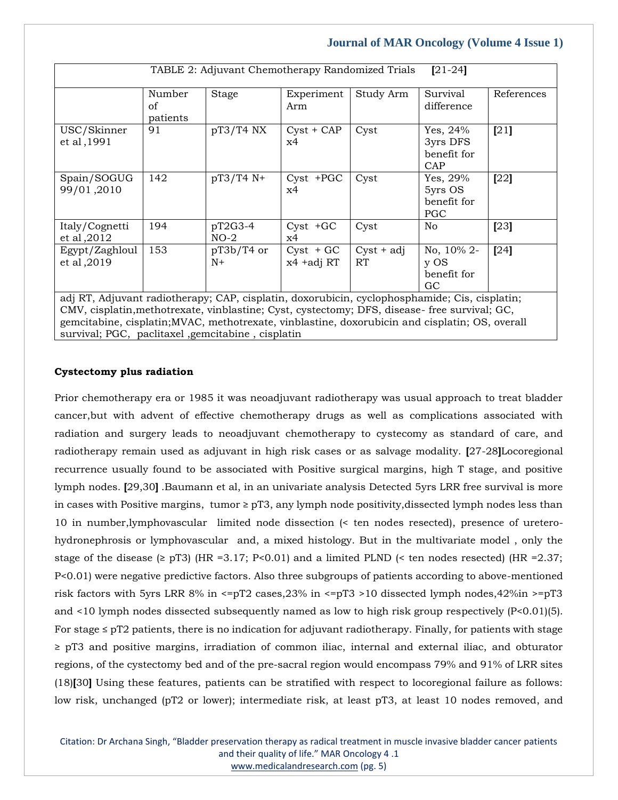| TABLE 2: Adjuvant Chemotherapy Randomized Trials<br>$[21-24]$                                                           |                          |                      |                            |                    |                                                  |            |  |
|-------------------------------------------------------------------------------------------------------------------------|--------------------------|----------------------|----------------------------|--------------------|--------------------------------------------------|------------|--|
|                                                                                                                         | Number<br>of<br>patients | <b>Stage</b>         | Experiment<br>Arm          | Study Arm          | Survival<br>difference                           | References |  |
| USC/Skinner<br>et al, 1991                                                                                              | 91                       | $pT3/T4$ NX          | $Cyst + CAP$<br>x4         | Cyst               | Yes, 24%<br>3yrs DFS<br>benefit for<br>CAP       | [21]       |  |
| Spain/SOGUG<br>99/01,2010                                                                                               | 142                      | pT3/T4 N+            | $Cyst$ +PGC<br>x4          | Cyst               | Yes, 29%<br>5yrs OS<br>benefit for<br><b>PGC</b> | [22]       |  |
| Italy/Cognetti<br>et al, 2012                                                                                           | 194                      | pT2G3-4<br>$NO-2$    | $Cyst + GC$<br>x4          | Cyst               | No                                               | $[23]$     |  |
| Egypt/Zaghloul<br>et al, 2019<br>adi RT Adjuvant radiatherany CAD cisplatin deverybicin evelophosphamide Cis cisplating | 153                      | $pT3b/T4$ or<br>$N+$ | $Cyst + GC$<br>x4 + adj RT | $Cyst + adj$<br>RT | No, 10% 2-<br>y OS<br>benefit for<br>GC          | $[24]$     |  |

adj RT, Adjuvant radiotherapy; CAP, cisplatin, doxorubicin, cyclophosphamide; Cis, cisplatin; CMV, cisplatin,methotrexate, vinblastine; Cyst, cystectomy; DFS, disease- free survival; GC, gemcitabine, cisplatin;MVAC, methotrexate, vinblastine, doxorubicin and cisplatin; OS, overall survival; PGC, paclitaxel ,gemcitabine , cisplatin

## **Cystectomy plus radiation**

Prior chemotherapy era or 1985 it was neoadjuvant radiotherapy was usual approach to treat bladder cancer,but with advent of effective chemotherapy drugs as well as complications associated with radiation and surgery leads to neoadjuvant chemotherapy to cystecomy as standard of care, and radiotherapy remain used as adjuvant in high risk cases or as salvage modality. **[**27-28**]**Locoregional recurrence usually found to be associated with Positive surgical margins, high T stage, and positive lymph nodes. **[**29,30**]** .Baumann et al, in an univariate analysis Detected 5yrs LRR free survival is more in cases with Positive margins, tumor  $\geq$  pT3, any lymph node positivity, dissected lymph nodes less than 10 in number,lymphovascular limited node dissection (< ten nodes resected), presence of ureterohydronephrosis or lymphovascular and, a mixed histology. But in the multivariate model , only the stage of the disease ( $\geq$  pT3) (HR =3.17; P<0.01) and a limited PLND ( $\leq$  ten nodes resected) (HR =2.37; P<0.01) were negative predictive factors. Also three subgroups of patients according to above-mentioned risk factors with 5yrs LRR 8% in <=pT2 cases,23% in <=pT3 >10 dissected lymph nodes,42%in >=pT3 and <10 lymph nodes dissected subsequently named as low to high risk group respectively (P<0.01)(5). For stage  $\leq$  pT2 patients, there is no indication for adjuvant radiotherapy. Finally, for patients with stage ≥ pT3 and positive margins, irradiation of common iliac, internal and external iliac, and obturator regions, of the cystectomy bed and of the pre-sacral region would encompass 79% and 91% of LRR sites (18)**[**30**]** Using these features, patients can be stratified with respect to locoregional failure as follows: low risk, unchanged (pT2 or lower); intermediate risk, at least pT3, at least 10 nodes removed, and

Citation: Dr Archana Singh, "Bladder preservation therapy as radical treatment in muscle invasive bladder cancer patients and their quality of life." MAR Oncology 4 .1 [www.medicalandresearch.com](http://www.medicalandresearch.com/) (pg. 5)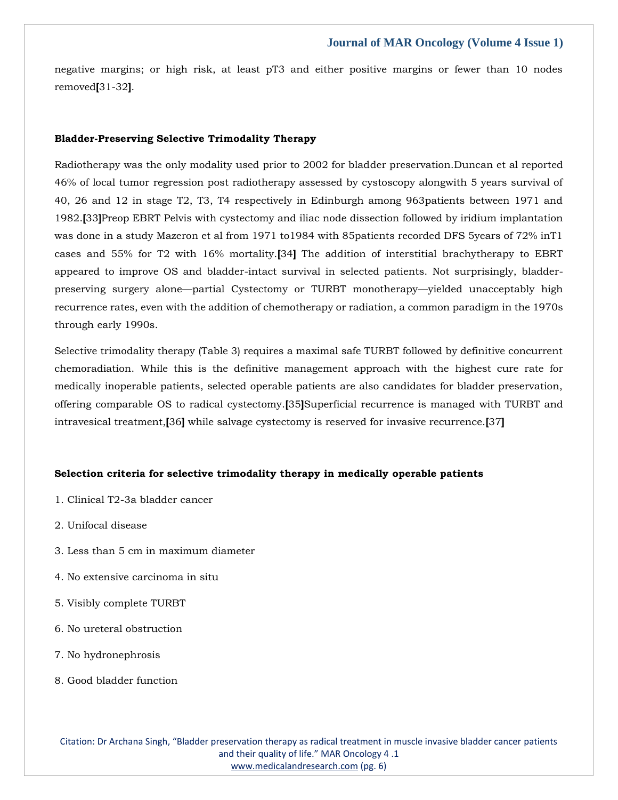negative margins; or high risk, at least pT3 and either positive margins or fewer than 10 nodes removed**[**31-32**]**.

## **Bladder-Preserving Selective Trimodality Therapy**

Radiotherapy was the only modality used prior to 2002 for bladder preservation.Duncan et al reported 46% of local tumor regression post radiotherapy assessed by cystoscopy alongwith 5 years survival of 40, 26 and 12 in stage T2, T3, T4 respectively in Edinburgh among 963patients between 1971 and 1982.**[**33**]**Preop EBRT Pelvis with cystectomy and iliac node dissection followed by iridium implantation was done in a study Mazeron et al from 1971 to1984 with 85patients recorded DFS 5years of 72% inT1 cases and 55% for T2 with 16% mortality.**[**34**]** The addition of interstitial brachytherapy to EBRT appeared to improve OS and bladder-intact survival in selected patients. Not surprisingly, bladderpreserving surgery alone—partial Cystectomy or TURBT monotherapy—yielded unacceptably high recurrence rates, even with the addition of chemotherapy or radiation, a common paradigm in the 1970s through early 1990s.

Selective trimodality therapy (Table 3) requires a maximal safe TURBT followed by definitive concurrent chemoradiation. While this is the definitive management approach with the highest cure rate for medically inoperable patients, selected operable patients are also candidates for bladder preservation, offering comparable OS to radical cystectomy.**[**35**]**Superficial recurrence is managed with TURBT and intravesical treatment,**[**36**]** while salvage cystectomy is reserved for invasive recurrence.**[**37**]**

### **Selection criteria for selective trimodality therapy in medically operable patients**

- 1. Clinical T2-3a bladder cancer
- 2. Unifocal disease
- 3. Less than 5 cm in maximum diameter
- 4. No extensive carcinoma in situ
- 5. Visibly complete TURBT
- 6. No ureteral obstruction
- 7. No hydronephrosis
- 8. Good bladder function

Citation: Dr Archana Singh, "Bladder preservation therapy as radical treatment in muscle invasive bladder cancer patients and their quality of life." MAR Oncology 4 .1 [www.medicalandresearch.com](http://www.medicalandresearch.com/) (pg. 6)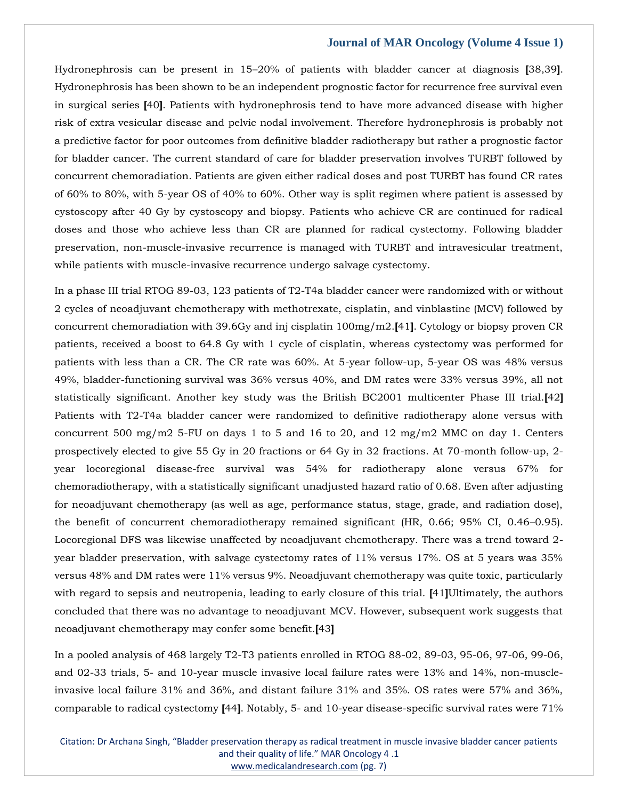Hydronephrosis can be present in 15–20% of patients with bladder cancer at diagnosis **[**38,39**]**. Hydronephrosis has been shown to be an independent prognostic factor for recurrence free survival even in surgical series **[**40**]**. Patients with hydronephrosis tend to have more advanced disease with higher risk of extra vesicular disease and pelvic nodal involvement. Therefore hydronephrosis is probably not a predictive factor for poor outcomes from definitive bladder radiotherapy but rather a prognostic factor for bladder cancer. The current standard of care for bladder preservation involves TURBT followed by concurrent chemoradiation. Patients are given either radical doses and post TURBT has found CR rates of 60% to 80%, with 5-year OS of 40% to 60%. Other way is split regimen where patient is assessed by cystoscopy after 40 Gy by cystoscopy and biopsy. Patients who achieve CR are continued for radical doses and those who achieve less than CR are planned for radical cystectomy. Following bladder preservation, non-muscle-invasive recurrence is managed with TURBT and intravesicular treatment, while patients with muscle-invasive recurrence undergo salvage cystectomy.

In a phase III trial RTOG 89-03, 123 patients of T2-T4a bladder cancer were randomized with or without 2 cycles of neoadjuvant chemotherapy with methotrexate, cisplatin, and vinblastine (MCV) followed by concurrent chemoradiation with 39.6Gy and inj cisplatin 100mg/m2.**[**41**]**. Cytology or biopsy proven CR patients, received a boost to 64.8 Gy with 1 cycle of cisplatin, whereas cystectomy was performed for patients with less than a CR. The CR rate was 60%. At 5-year follow-up, 5-year OS was 48% versus 49%, bladder-functioning survival was 36% versus 40%, and DM rates were 33% versus 39%, all not statistically significant. Another key study was the British BC2001 multicenter Phase III trial.**[**42**]** Patients with T2-T4a bladder cancer were randomized to definitive radiotherapy alone versus with concurrent 500 mg/m2 5-FU on days 1 to 5 and 16 to 20, and 12 mg/m2 MMC on day 1. Centers prospectively elected to give 55 Gy in 20 fractions or 64 Gy in 32 fractions. At 70-month follow-up, 2 year locoregional disease-free survival was 54% for radiotherapy alone versus 67% for chemoradiotherapy, with a statistically significant unadjusted hazard ratio of 0.68. Even after adjusting for neoadjuvant chemotherapy (as well as age, performance status, stage, grade, and radiation dose), the benefit of concurrent chemoradiotherapy remained significant (HR, 0.66; 95% CI, 0.46–0.95). Locoregional DFS was likewise unaffected by neoadjuvant chemotherapy. There was a trend toward 2 year bladder preservation, with salvage cystectomy rates of 11% versus 17%. OS at 5 years was 35% versus 48% and DM rates were 11% versus 9%. Neoadjuvant chemotherapy was quite toxic, particularly with regard to sepsis and neutropenia, leading to early closure of this trial. **[**41**]**Ultimately, the authors concluded that there was no advantage to neoadjuvant MCV. However, subsequent work suggests that neoadjuvant chemotherapy may confer some benefit.**[**43**]**

In a pooled analysis of 468 largely T2-T3 patients enrolled in RTOG 88-02, 89-03, 95-06, 97-06, 99-06, and 02-33 trials, 5- and 10-year muscle invasive local failure rates were 13% and 14%, non-muscleinvasive local failure 31% and 36%, and distant failure 31% and 35%. OS rates were 57% and 36%, comparable to radical cystectomy **[**44**]**. Notably, 5- and 10-year disease-specific survival rates were 71%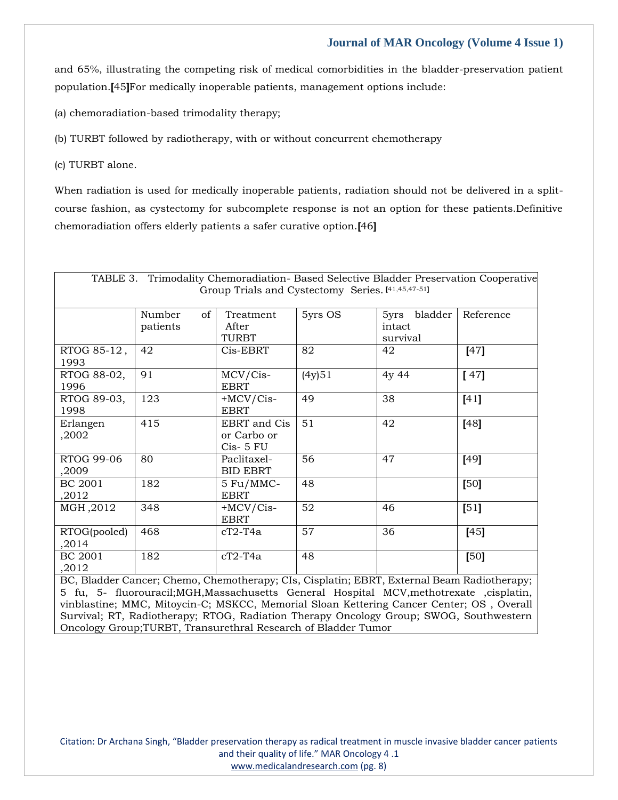and 65%, illustrating the competing risk of medical comorbidities in the bladder-preservation patient population.**[**45**]**For medically inoperable patients, management options include:

(a) chemoradiation-based trimodality therapy;

(b) TURBT followed by radiotherapy, with or without concurrent chemotherapy

(c) TURBT alone.

When radiation is used for medically inoperable patients, radiation should not be delivered in a splitcourse fashion, as cystectomy for subcomplete response is not an option for these patients.Definitive chemoradiation offers elderly patients a safer curative option.**[**46**]**

| TABLE 3. Trimodality Chemoradiation- Based Selective Bladder Preservation Cooperative<br>Group Trials and Cystectomy Series. [41,45,47-51] |                            |                                          |         |                                       |           |  |
|--------------------------------------------------------------------------------------------------------------------------------------------|----------------------------|------------------------------------------|---------|---------------------------------------|-----------|--|
|                                                                                                                                            | Number<br>of  <br>patients | Treatment<br>After<br>TURBT              | 5yrs OS | bladder<br>5yrs<br>intact<br>survival | Reference |  |
| RTOG 85-12,<br>1993                                                                                                                        | 42                         | Cis-EBRT                                 | 82      | 42                                    | $[47]$    |  |
| RTOG 88-02,<br>1996                                                                                                                        | 91                         | MCV/Cis-<br><b>EBRT</b>                  | (4y)51  | 4y 44                                 | [47]      |  |
| RTOG 89-03,<br>1998                                                                                                                        | 123                        | $+MCV/Cis-$<br><b>EBRT</b>               | 49      | 38                                    | [41]      |  |
| Erlangen<br>,2002                                                                                                                          | 415                        | EBRT and Cis<br>or Carbo or<br>Cis- 5 FU | 51      | 42                                    | $[48]$    |  |
| RTOG 99-06<br>,2009                                                                                                                        | 80                         | Paclitaxel-<br><b>BID EBRT</b>           | 56      | 47                                    | $[49]$    |  |
| BC 2001<br>,2012                                                                                                                           | 182                        | 5 Fu/MMC-<br><b>EBRT</b>                 | 48      |                                       | [50]      |  |
| MGH, 2012                                                                                                                                  | 348                        | $+MCV/Cis-$<br><b>EBRT</b>               | 52      | 46                                    | [51]      |  |
| RTOG(pooled)<br>,2014                                                                                                                      | 468                        | $cT2-T4a$                                | 57      | 36                                    | [45]      |  |
| BC 2001<br>,2012                                                                                                                           | 182                        | $cT2-T4a$                                | 48      |                                       | [50]      |  |

BC, Bladder Cancer; Chemo, Chemotherapy; CIs, Cisplatin; EBRT, External Beam Radiotherapy; 5 fu, 5- fluorouracil;MGH,Massachusetts General Hospital MCV,methotrexate ,cisplatin, vinblastine; MMC, Mitoycin-C; MSKCC, Memorial Sloan Kettering Cancer Center; OS , Overall Survival; RT, Radiotherapy; RTOG, Radiation Therapy Oncology Group; SWOG, Southwestern Oncology Group;TURBT, Transurethral Research of Bladder Tumor

Citation: Dr Archana Singh, "Bladder preservation therapy as radical treatment in muscle invasive bladder cancer patients and their quality of life." MAR Oncology 4 .1 [www.medicalandresearch.com](http://www.medicalandresearch.com/) (pg. 8)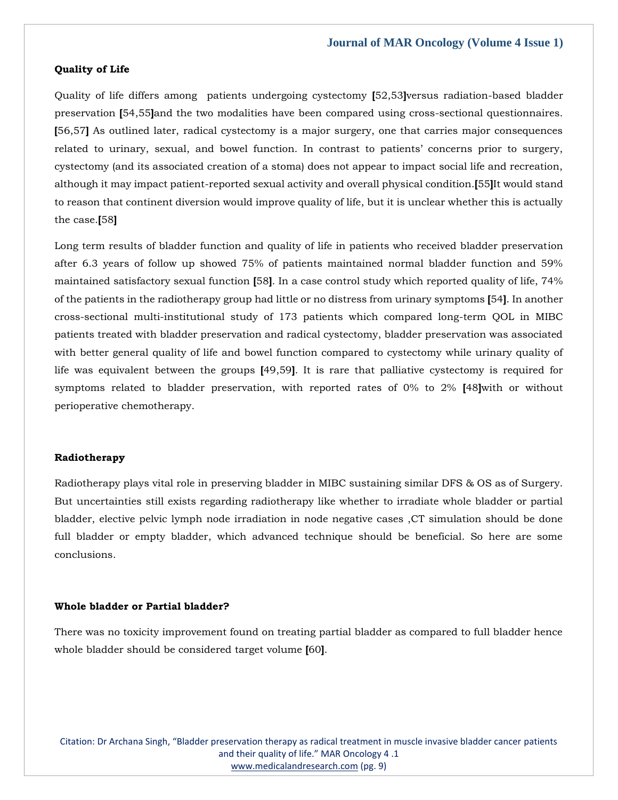#### **Quality of Life**

Quality of life differs among patients undergoing cystectomy **[**52,53**]**versus radiation-based bladder preservation **[**54,55**]**and the two modalities have been compared using cross-sectional questionnaires. **[**56,57**]** As outlined later, radical cystectomy is a major surgery, one that carries major consequences related to urinary, sexual, and bowel function. In contrast to patients' concerns prior to surgery, cystectomy (and its associated creation of a stoma) does not appear to impact social life and recreation, although it may impact patient-reported sexual activity and overall physical condition.**[**55**]**It would stand to reason that continent diversion would improve quality of life, but it is unclear whether this is actually the case.**[**58**]**

Long term results of bladder function and quality of life in patients who received bladder preservation after 6.3 years of follow up showed 75% of patients maintained normal bladder function and 59% maintained satisfactory sexual function **[**58**]**. In a case control study which reported quality of life, 74% of the patients in the radiotherapy group had little or no distress from urinary symptoms **[**54**]**. In another cross-sectional multi-institutional study of 173 patients which compared long-term QOL in MIBC patients treated with bladder preservation and radical cystectomy, bladder preservation was associated with better general quality of life and bowel function compared to cystectomy while urinary quality of life was equivalent between the groups **[**49,59**]**. It is rare that palliative cystectomy is required for symptoms related to bladder preservation, with reported rates of 0% to 2% **[**48**]**with or without perioperative chemotherapy.

#### **Radiotherapy**

Radiotherapy plays vital role in preserving bladder in MIBC sustaining similar DFS & OS as of Surgery. But uncertainties still exists regarding radiotherapy like whether to irradiate whole bladder or partial bladder, elective pelvic lymph node irradiation in node negative cases ,CT simulation should be done full bladder or empty bladder, which advanced technique should be beneficial. So here are some conclusions.

#### **Whole bladder or Partial bladder?**

There was no toxicity improvement found on treating partial bladder as compared to full bladder hence whole bladder should be considered target volume **[**60**]**.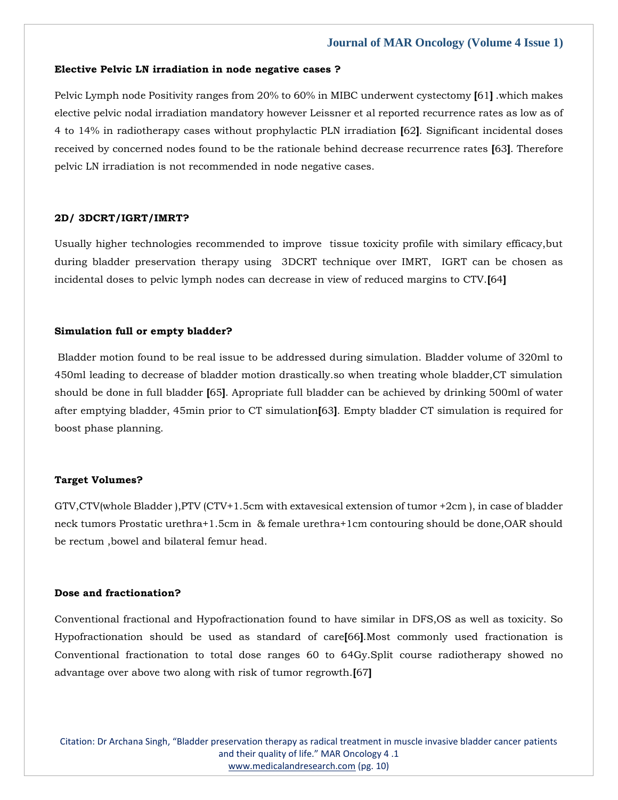#### **Elective Pelvic LN irradiation in node negative cases ?**

Pelvic Lymph node Positivity ranges from 20% to 60% in MIBC underwent cystectomy **[**61**]** .which makes elective pelvic nodal irradiation mandatory however Leissner et al reported recurrence rates as low as of 4 to 14% in radiotherapy cases without prophylactic PLN irradiation **[**62**]**. Significant incidental doses received by concerned nodes found to be the rationale behind decrease recurrence rates **[**63**]**. Therefore pelvic LN irradiation is not recommended in node negative cases.

#### **2D/ 3DCRT/IGRT/IMRT?**

Usually higher technologies recommended to improve tissue toxicity profile with similary efficacy,but during bladder preservation therapy using 3DCRT technique over IMRT, IGRT can be chosen as incidental doses to pelvic lymph nodes can decrease in view of reduced margins to CTV.**[**64**]**

#### **Simulation full or empty bladder?**

Bladder motion found to be real issue to be addressed during simulation. Bladder volume of 320ml to 450ml leading to decrease of bladder motion drastically.so when treating whole bladder,CT simulation should be done in full bladder **[**65**]**. Apropriate full bladder can be achieved by drinking 500ml of water after emptying bladder, 45min prior to CT simulation**[**63**]**. Empty bladder CT simulation is required for boost phase planning.

#### **Target Volumes?**

GTV,CTV(whole Bladder ),PTV (CTV+1.5cm with extavesical extension of tumor +2cm ), in case of bladder neck tumors Prostatic urethra+1.5cm in & female urethra+1cm contouring should be done,OAR should be rectum ,bowel and bilateral femur head.

#### **Dose and fractionation?**

Conventional fractional and Hypofractionation found to have similar in DFS,OS as well as toxicity. So Hypofractionation should be used as standard of care**[**66**]**.Most commonly used fractionation is Conventional fractionation to total dose ranges 60 to 64Gy.Split course radiotherapy showed no advantage over above two along with risk of tumor regrowth.**[**67**]**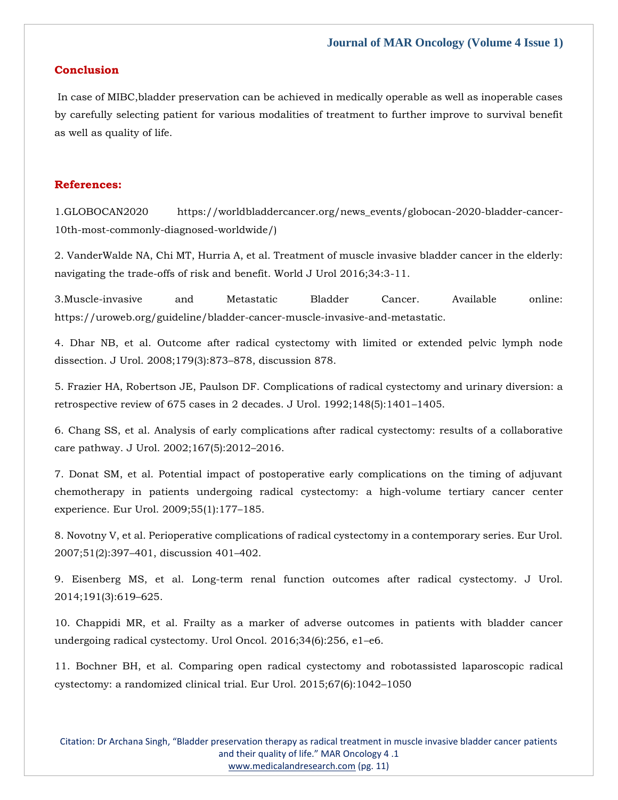## **Conclusion**

In case of MIBC,bladder preservation can be achieved in medically operable as well as inoperable cases by carefully selecting patient for various modalities of treatment to further improve to survival benefit as well as quality of life.

# **References:**

1.GLOBOCAN2020 https://worldbladdercancer.org/news\_events/globocan-2020-bladder-cancer-10th-most-commonly-diagnosed-worldwide/)

2. VanderWalde NA, Chi MT, Hurria A, et al. Treatment of muscle invasive bladder cancer in the elderly: navigating the trade-offs of risk and benefit. World J Urol 2016;34:3-11.

3.Muscle-invasive and Metastatic Bladder Cancer. Available online: https://uroweb.org/guideline/bladder-cancer-muscle-invasive-and-metastatic.

4. Dhar NB, et al. Outcome after radical cystectomy with limited or extended pelvic lymph node dissection. J Urol. 2008;179(3):873–878, discussion 878.

5. Frazier HA, Robertson JE, Paulson DF. Complications of radical cystectomy and urinary diversion: a retrospective review of 675 cases in 2 decades. J Urol. 1992;148(5):1401–1405.

6. Chang SS, et al. Analysis of early complications after radical cystectomy: results of a collaborative care pathway. J Urol. 2002;167(5):2012–2016.

7. Donat SM, et al. Potential impact of postoperative early complications on the timing of adjuvant chemotherapy in patients undergoing radical cystectomy: a high-volume tertiary cancer center experience. Eur Urol. 2009;55(1):177–185.

8. Novotny V, et al. Perioperative complications of radical cystectomy in a contemporary series. Eur Urol. 2007;51(2):397–401, discussion 401–402.

9. Eisenberg MS, et al. Long-term renal function outcomes after radical cystectomy. J Urol. 2014;191(3):619–625.

10. Chappidi MR, et al. Frailty as a marker of adverse outcomes in patients with bladder cancer undergoing radical cystectomy. Urol Oncol. 2016;34(6):256, e1–e6.

11. Bochner BH, et al. Comparing open radical cystectomy and robotassisted laparoscopic radical cystectomy: a randomized clinical trial. Eur Urol. 2015;67(6):1042–1050

Citation: Dr Archana Singh, "Bladder preservation therapy as radical treatment in muscle invasive bladder cancer patients and their quality of life." MAR Oncology 4 .1 [www.medicalandresearch.com](http://www.medicalandresearch.com/) (pg. 11)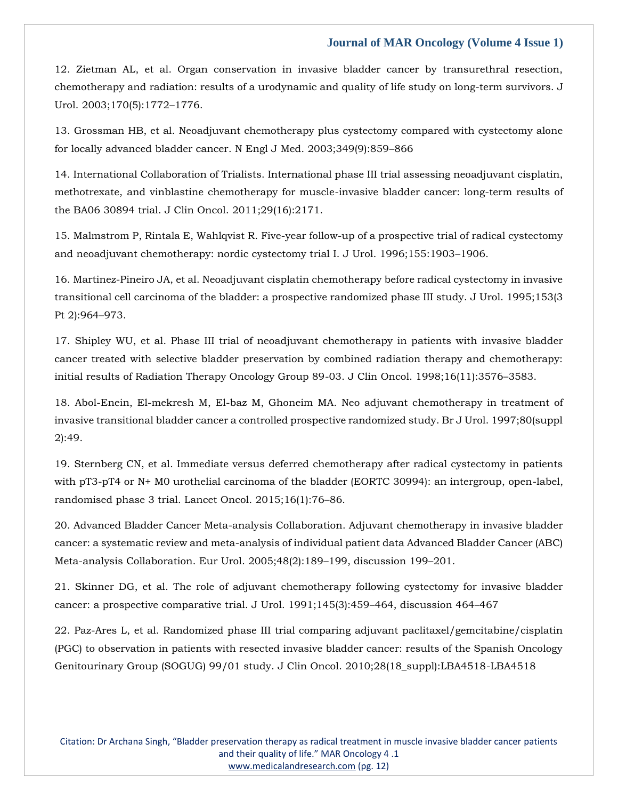12. Zietman AL, et al. Organ conservation in invasive bladder cancer by transurethral resection, chemotherapy and radiation: results of a urodynamic and quality of life study on long-term survivors. J Urol. 2003;170(5):1772–1776.

13. Grossman HB, et al. Neoadjuvant chemotherapy plus cystectomy compared with cystectomy alone for locally advanced bladder cancer. N Engl J Med. 2003;349(9):859–866

14. International Collaboration of Trialists. International phase III trial assessing neoadjuvant cisplatin, methotrexate, and vinblastine chemotherapy for muscle-invasive bladder cancer: long-term results of the BA06 30894 trial. J Clin Oncol. 2011;29(16):2171.

15. Malmstrom P, Rintala E, Wahlqvist R. Five-year follow-up of a prospective trial of radical cystectomy and neoadjuvant chemotherapy: nordic cystectomy trial I. J Urol. 1996;155:1903–1906.

16. Martinez-Pineiro JA, et al. Neoadjuvant cisplatin chemotherapy before radical cystectomy in invasive transitional cell carcinoma of the bladder: a prospective randomized phase III study. J Urol. 1995;153(3 Pt 2):964–973.

17. Shipley WU, et al. Phase III trial of neoadjuvant chemotherapy in patients with invasive bladder cancer treated with selective bladder preservation by combined radiation therapy and chemotherapy: initial results of Radiation Therapy Oncology Group 89-03. J Clin Oncol. 1998;16(11):3576–3583.

18. Abol-Enein, El-mekresh M, El-baz M, Ghoneim MA. Neo adjuvant chemotherapy in treatment of invasive transitional bladder cancer a controlled prospective randomized study. Br J Urol. 1997;80(suppl 2):49.

19. Sternberg CN, et al. Immediate versus deferred chemotherapy after radical cystectomy in patients with pT3-pT4 or N+ M0 urothelial carcinoma of the bladder (EORTC 30994): an intergroup, open-label, randomised phase 3 trial. Lancet Oncol. 2015;16(1):76–86.

20. Advanced Bladder Cancer Meta-analysis Collaboration. Adjuvant chemotherapy in invasive bladder cancer: a systematic review and meta-analysis of individual patient data Advanced Bladder Cancer (ABC) Meta-analysis Collaboration. Eur Urol. 2005;48(2):189–199, discussion 199–201.

21. Skinner DG, et al. The role of adjuvant chemotherapy following cystectomy for invasive bladder cancer: a prospective comparative trial. J Urol. 1991;145(3):459–464, discussion 464–467

22. Paz-Ares L, et al. Randomized phase III trial comparing adjuvant paclitaxel/gemcitabine/cisplatin (PGC) to observation in patients with resected invasive bladder cancer: results of the Spanish Oncology Genitourinary Group (SOGUG) 99/01 study. J Clin Oncol. 2010;28(18\_suppl):LBA4518-LBA4518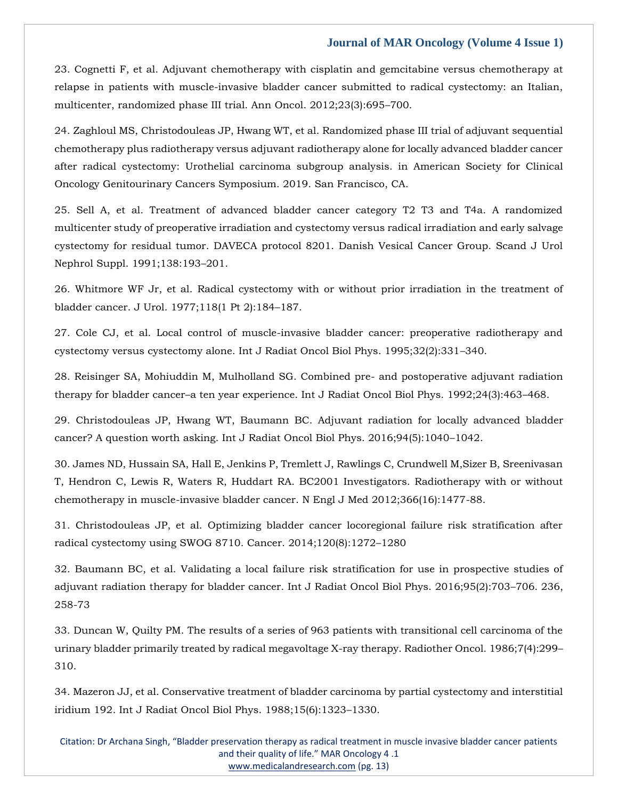23. Cognetti F, et al. Adjuvant chemotherapy with cisplatin and gemcitabine versus chemotherapy at relapse in patients with muscle-invasive bladder cancer submitted to radical cystectomy: an Italian, multicenter, randomized phase III trial. Ann Oncol. 2012;23(3):695–700.

24. Zaghloul MS, Christodouleas JP, Hwang WT, et al. Randomized phase III trial of adjuvant sequential chemotherapy plus radiotherapy versus adjuvant radiotherapy alone for locally advanced bladder cancer after radical cystectomy: Urothelial carcinoma subgroup analysis. in American Society for Clinical Oncology Genitourinary Cancers Symposium. 2019. San Francisco, CA.

25. Sell A, et al. Treatment of advanced bladder cancer category T2 T3 and T4a. A randomized multicenter study of preoperative irradiation and cystectomy versus radical irradiation and early salvage cystectomy for residual tumor. DAVECA protocol 8201. Danish Vesical Cancer Group. Scand J Urol Nephrol Suppl. 1991;138:193–201.

26. Whitmore WF Jr, et al. Radical cystectomy with or without prior irradiation in the treatment of bladder cancer. J Urol. 1977;118(1 Pt 2):184–187.

27. Cole CJ, et al. Local control of muscle-invasive bladder cancer: preoperative radiotherapy and cystectomy versus cystectomy alone. Int J Radiat Oncol Biol Phys. 1995;32(2):331–340.

28. Reisinger SA, Mohiuddin M, Mulholland SG. Combined pre- and postoperative adjuvant radiation therapy for bladder cancer–a ten year experience. Int J Radiat Oncol Biol Phys. 1992;24(3):463–468.

29. Christodouleas JP, Hwang WT, Baumann BC. Adjuvant radiation for locally advanced bladder cancer? A question worth asking. Int J Radiat Oncol Biol Phys. 2016;94(5):1040–1042.

30. James ND, Hussain SA, Hall E, Jenkins P, Tremlett J, Rawlings C, Crundwell M,Sizer B, Sreenivasan T, Hendron C, Lewis R, Waters R, Huddart RA. BC2001 Investigators. Radiotherapy with or without chemotherapy in muscle-invasive bladder cancer. N Engl J Med 2012;366(16):1477-88.

31. Christodouleas JP, et al. Optimizing bladder cancer locoregional failure risk stratification after radical cystectomy using SWOG 8710. Cancer. 2014;120(8):1272–1280

32. Baumann BC, et al. Validating a local failure risk stratification for use in prospective studies of adjuvant radiation therapy for bladder cancer. Int J Radiat Oncol Biol Phys. 2016;95(2):703–706. 236, 258-73

33. Duncan W, Quilty PM. The results of a series of 963 patients with transitional cell carcinoma of the urinary bladder primarily treated by radical megavoltage X-ray therapy. Radiother Oncol. 1986;7(4):299– 310.

34. Mazeron JJ, et al. Conservative treatment of bladder carcinoma by partial cystectomy and interstitial iridium 192. Int J Radiat Oncol Biol Phys. 1988;15(6):1323–1330.

Citation: Dr Archana Singh, "Bladder preservation therapy as radical treatment in muscle invasive bladder cancer patients and their quality of life." MAR Oncology 4 .1 [www.medicalandresearch.com](http://www.medicalandresearch.com/) (pg. 13)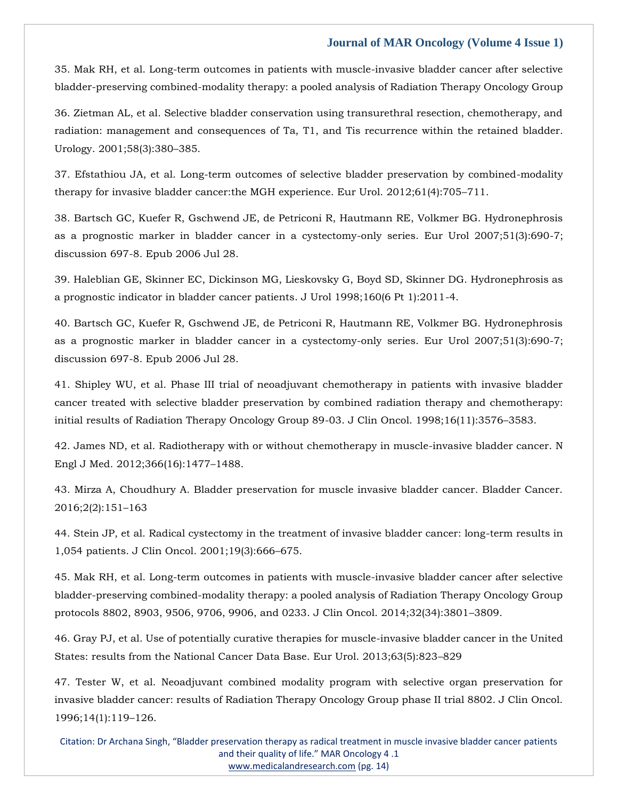35. Mak RH, et al. Long-term outcomes in patients with muscle-invasive bladder cancer after selective bladder-preserving combined-modality therapy: a pooled analysis of Radiation Therapy Oncology Group

36. Zietman AL, et al. Selective bladder conservation using transurethral resection, chemotherapy, and radiation: management and consequences of Ta, T1, and Tis recurrence within the retained bladder. Urology. 2001;58(3):380–385.

37. Efstathiou JA, et al. Long-term outcomes of selective bladder preservation by combined-modality therapy for invasive bladder cancer:the MGH experience. Eur Urol. 2012;61(4):705–711.

38. Bartsch GC, Kuefer R, Gschwend JE, de Petriconi R, Hautmann RE, Volkmer BG. Hydronephrosis as a prognostic marker in bladder cancer in a cystectomy-only series. Eur Urol 2007;51(3):690-7; discussion 697-8. Epub 2006 Jul 28.

39. Haleblian GE, Skinner EC, Dickinson MG, Lieskovsky G, Boyd SD, Skinner DG. Hydronephrosis as a prognostic indicator in bladder cancer patients. J Urol 1998;160(6 Pt 1):2011-4.

40. Bartsch GC, Kuefer R, Gschwend JE, de Petriconi R, Hautmann RE, Volkmer BG. Hydronephrosis as a prognostic marker in bladder cancer in a cystectomy-only series. Eur Urol 2007;51(3):690-7; discussion 697-8. Epub 2006 Jul 28.

41. Shipley WU, et al. Phase III trial of neoadjuvant chemotherapy in patients with invasive bladder cancer treated with selective bladder preservation by combined radiation therapy and chemotherapy: initial results of Radiation Therapy Oncology Group 89-03. J Clin Oncol. 1998;16(11):3576–3583.

42. James ND, et al. Radiotherapy with or without chemotherapy in muscle-invasive bladder cancer. N Engl J Med. 2012;366(16):1477–1488.

43. Mirza A, Choudhury A. Bladder preservation for muscle invasive bladder cancer. Bladder Cancer. 2016;2(2):151–163

44. Stein JP, et al. Radical cystectomy in the treatment of invasive bladder cancer: long-term results in 1,054 patients. J Clin Oncol. 2001;19(3):666–675.

45. Mak RH, et al. Long-term outcomes in patients with muscle-invasive bladder cancer after selective bladder-preserving combined-modality therapy: a pooled analysis of Radiation Therapy Oncology Group protocols 8802, 8903, 9506, 9706, 9906, and 0233. J Clin Oncol. 2014;32(34):3801–3809.

46. Gray PJ, et al. Use of potentially curative therapies for muscle-invasive bladder cancer in the United States: results from the National Cancer Data Base. Eur Urol. 2013;63(5):823–829

47. Tester W, et al. Neoadjuvant combined modality program with selective organ preservation for invasive bladder cancer: results of Radiation Therapy Oncology Group phase II trial 8802. J Clin Oncol. 1996;14(1):119–126.

Citation: Dr Archana Singh, "Bladder preservation therapy as radical treatment in muscle invasive bladder cancer patients and their quality of life." MAR Oncology 4 .1 [www.medicalandresearch.com](http://www.medicalandresearch.com/) (pg. 14)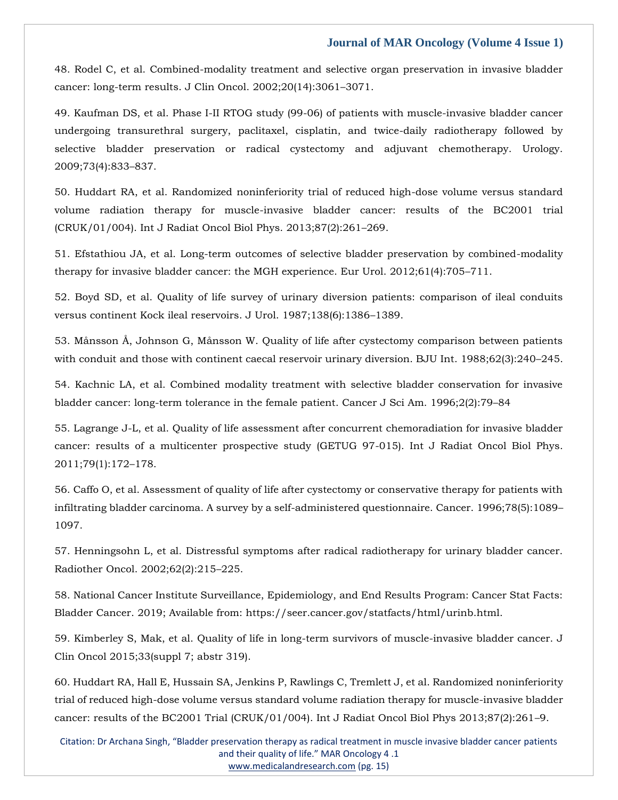48. Rodel C, et al. Combined-modality treatment and selective organ preservation in invasive bladder cancer: long-term results. J Clin Oncol. 2002;20(14):3061–3071.

49. Kaufman DS, et al. Phase I-II RTOG study (99-06) of patients with muscle-invasive bladder cancer undergoing transurethral surgery, paclitaxel, cisplatin, and twice-daily radiotherapy followed by selective bladder preservation or radical cystectomy and adjuvant chemotherapy. Urology. 2009;73(4):833–837.

50. Huddart RA, et al. Randomized noninferiority trial of reduced high-dose volume versus standard volume radiation therapy for muscle-invasive bladder cancer: results of the BC2001 trial (CRUK/01/004). Int J Radiat Oncol Biol Phys. 2013;87(2):261–269.

51. Efstathiou JA, et al. Long-term outcomes of selective bladder preservation by combined-modality therapy for invasive bladder cancer: the MGH experience. Eur Urol. 2012;61(4):705–711.

52. Boyd SD, et al. Quality of life survey of urinary diversion patients: comparison of ileal conduits versus continent Kock ileal reservoirs. J Urol. 1987;138(6):1386–1389.

53. Månsson Å, Johnson G, Månsson W. Quality of life after cystectomy comparison between patients with conduit and those with continent caecal reservoir urinary diversion. BJU Int. 1988;62(3):240–245.

54. Kachnic LA, et al. Combined modality treatment with selective bladder conservation for invasive bladder cancer: long-term tolerance in the female patient. Cancer J Sci Am. 1996;2(2):79–84

55. Lagrange J-L, et al. Quality of life assessment after concurrent chemoradiation for invasive bladder cancer: results of a multicenter prospective study (GETUG 97-015). Int J Radiat Oncol Biol Phys. 2011;79(1):172–178.

56. Caffo O, et al. Assessment of quality of life after cystectomy or conservative therapy for patients with infiltrating bladder carcinoma. A survey by a self-administered questionnaire. Cancer. 1996;78(5):1089– 1097.

57. Henningsohn L, et al. Distressful symptoms after radical radiotherapy for urinary bladder cancer. Radiother Oncol. 2002;62(2):215–225.

58. National Cancer Institute Surveillance, Epidemiology, and End Results Program: Cancer Stat Facts: Bladder Cancer. 2019; Available from: https://seer.cancer.gov/statfacts/html/urinb.html.

59. Kimberley S, Mak, et al. Quality of life in long-term survivors of muscle-invasive bladder cancer. J Clin Oncol 2015;33(suppl 7; abstr 319).

60. Huddart RA, Hall E, Hussain SA, Jenkins P, Rawlings C, Tremlett J, et al. Randomized noninferiority trial of reduced high-dose volume versus standard volume radiation therapy for muscle-invasive bladder cancer: results of the BC2001 Trial (CRUK/01/004). Int J Radiat Oncol Biol Phys 2013;87(2):261–9.

Citation: Dr Archana Singh, "Bladder preservation therapy as radical treatment in muscle invasive bladder cancer patients and their quality of life." MAR Oncology 4 .1 [www.medicalandresearch.com](http://www.medicalandresearch.com/) (pg. 15)